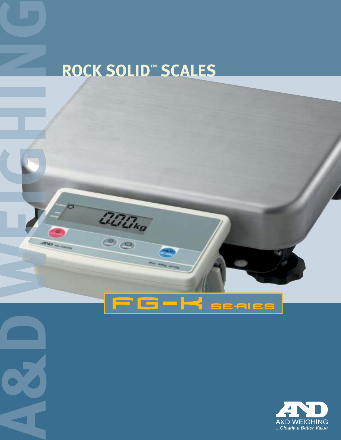# **ROCK SOLID™ SCALES**

**ACITING** 

F

 $\sqrt{\frac{2}{n}}$ 

**State** 

 $\overline{\mathbf{G}}$   $\blacktriangleright$   $\blacktriangleright$   $\blacktriangleright$   $\mathbf{S}$  exists

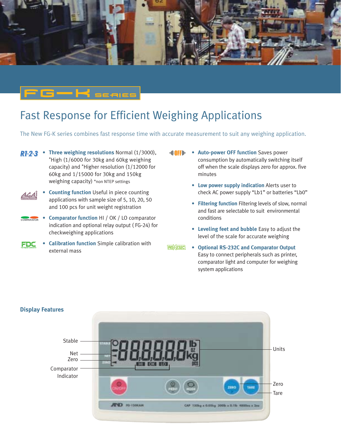

### Fast Response for Efficient Weighing Applications

The New FG-K series combines fast response time with accurate measurement to suit any weighing application.

**R1-2-3** • Three weighing resolutions Normal (1/3000), \*High (1/6000 for 30kg and 60kg weighing capacity) and \*Higher resolution (1/12000 for 60kg and 1/15000 for 30kg and 150kg weighing capacity) \*non NTEP settings

 $-H$   $_{\rm{escrit}}$ 

- **Counting function** Useful in piece counting applications with sample size of 5, 10, 20, 50 and 100 pcs for unit weight registration
- **Comparator function** HI / OK / LO comparator **COMPARATOR** indication and optional relay output ( FG-24) for checkweighing applications
- **Calibration function** Simple calibration with ZDE external mass
- **Auto-power OFF function** Saves power consumption by automatically switching itself off when the scale displays zero for approx. five minutes
	- **Low power supply indication** Alerts user to check AC power supply "Lb1" or batteries "Lb0"
	- **Filtering function** Filtering levels of slow, normal and fast are selectable to suit environmental conditions
	- **Leveling feet and bubble** Easy to adjust the level of the scale for accurate weighing
- **Optional RS-232C and Comparator Output** Easy to connect peripherals such as printer, comparator light and computer for weighing system applications



#### **Display Features**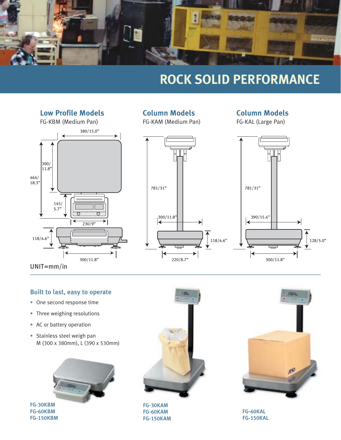

## **ROCK SOLID PERFORMANCE**



#### **Column Models**

FG-KAL (Large Pan)



#### **Built to last, easy to operate**

- One second response time
- Three weighing resolutions
- AC or battery operation
- Stainless steel weigh pan M (300 x 380mm), L (390 x 530mm)



FG-30KBM FG-60KBM FG-150KBM



FG-30KAM FG-60KAM FG-150KAM



FG-60KAL FG-150KAL